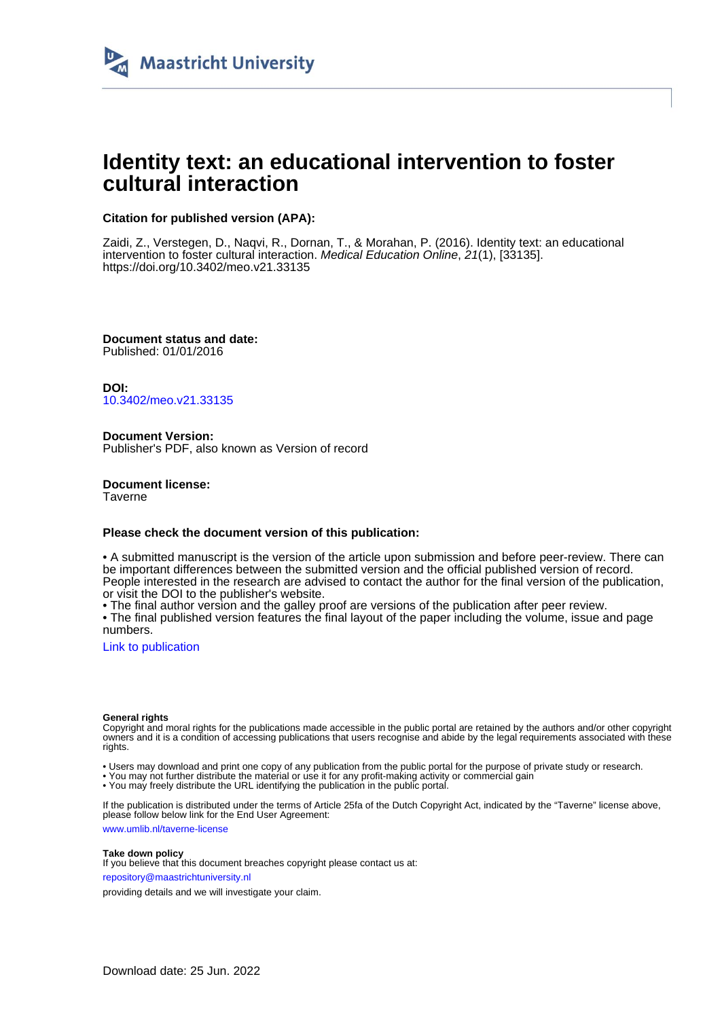

# **Identity text: an educational intervention to foster cultural interaction**

# **Citation for published version (APA):**

Zaidi, Z., Verstegen, D., Naqvi, R., Dornan, T., & Morahan, P. (2016). Identity text: an educational intervention to foster cultural interaction. Medical Education Online, 21(1), [33135]. <https://doi.org/10.3402/meo.v21.33135>

**Document status and date:** Published: 01/01/2016

**DOI:** [10.3402/meo.v21.33135](https://doi.org/10.3402/meo.v21.33135)

**Document Version:** Publisher's PDF, also known as Version of record

**Document license: Taverne** 

#### **Please check the document version of this publication:**

• A submitted manuscript is the version of the article upon submission and before peer-review. There can be important differences between the submitted version and the official published version of record. People interested in the research are advised to contact the author for the final version of the publication, or visit the DOI to the publisher's website.

• The final author version and the galley proof are versions of the publication after peer review.

• The final published version features the final layout of the paper including the volume, issue and page numbers.

[Link to publication](https://cris.maastrichtuniversity.nl/en/publications/09ffb9ae-c448-4797-b4f0-2d18df8cda3c)

#### **General rights**

Copyright and moral rights for the publications made accessible in the public portal are retained by the authors and/or other copyright owners and it is a condition of accessing publications that users recognise and abide by the legal requirements associated with these rights.

• Users may download and print one copy of any publication from the public portal for the purpose of private study or research.

• You may not further distribute the material or use it for any profit-making activity or commercial gain

• You may freely distribute the URL identifying the publication in the public portal.

If the publication is distributed under the terms of Article 25fa of the Dutch Copyright Act, indicated by the "Taverne" license above, please follow below link for the End User Agreement:

www.umlib.nl/taverne-license

#### **Take down policy**

If you believe that this document breaches copyright please contact us at: repository@maastrichtuniversity.nl

providing details and we will investigate your claim.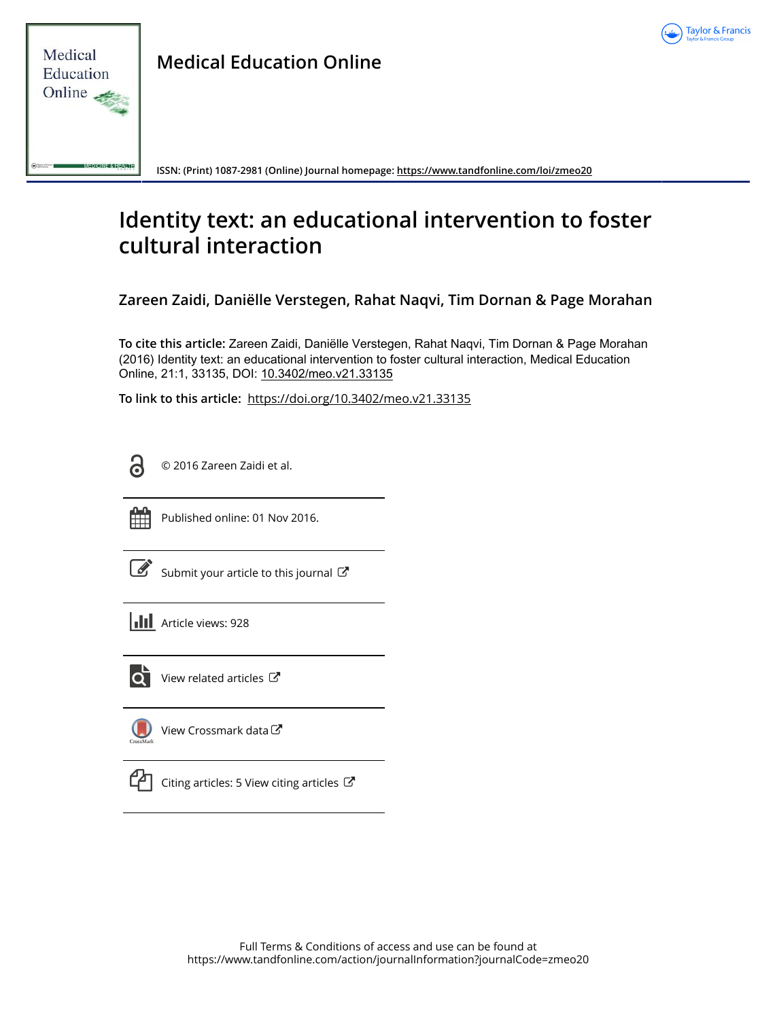



**Medical Education Online**

**ISSN: (Print) 1087-2981 (Online) Journal homepage:<https://www.tandfonline.com/loi/zmeo20>**

# **Identity text: an educational intervention to foster cultural interaction**

**Zareen Zaidi, Daniëlle Verstegen, Rahat Naqvi, Tim Dornan & Page Morahan**

**To cite this article:** Zareen Zaidi, Daniëlle Verstegen, Rahat Naqvi, Tim Dornan & Page Morahan (2016) Identity text: an educational intervention to foster cultural interaction, Medical Education Online, 21:1, 33135, DOI: [10.3402/meo.v21.33135](https://www.tandfonline.com/action/showCitFormats?doi=10.3402/meo.v21.33135)

**To link to this article:** <https://doi.org/10.3402/meo.v21.33135>

.<br>ი

© 2016 Zareen Zaidi et al.



Published online: 01 Nov 2016.

[Submit your article to this journal](https://www.tandfonline.com/action/authorSubmission?journalCode=zmeo20&show=instructions)  $\mathbb{Z}$ 

**Article views: 928** 



 $\overline{Q}$  [View related articles](https://www.tandfonline.com/doi/mlt/10.3402/meo.v21.33135)  $\overline{C}$ 

[View Crossmark data](http://crossmark.crossref.org/dialog/?doi=10.3402/meo.v21.33135&domain=pdf&date_stamp=2016-11-01)<sup>C</sup>



 $\Box$  [Citing articles: 5 View citing articles](https://www.tandfonline.com/doi/citedby/10.3402/meo.v21.33135#tabModule)  $\Box$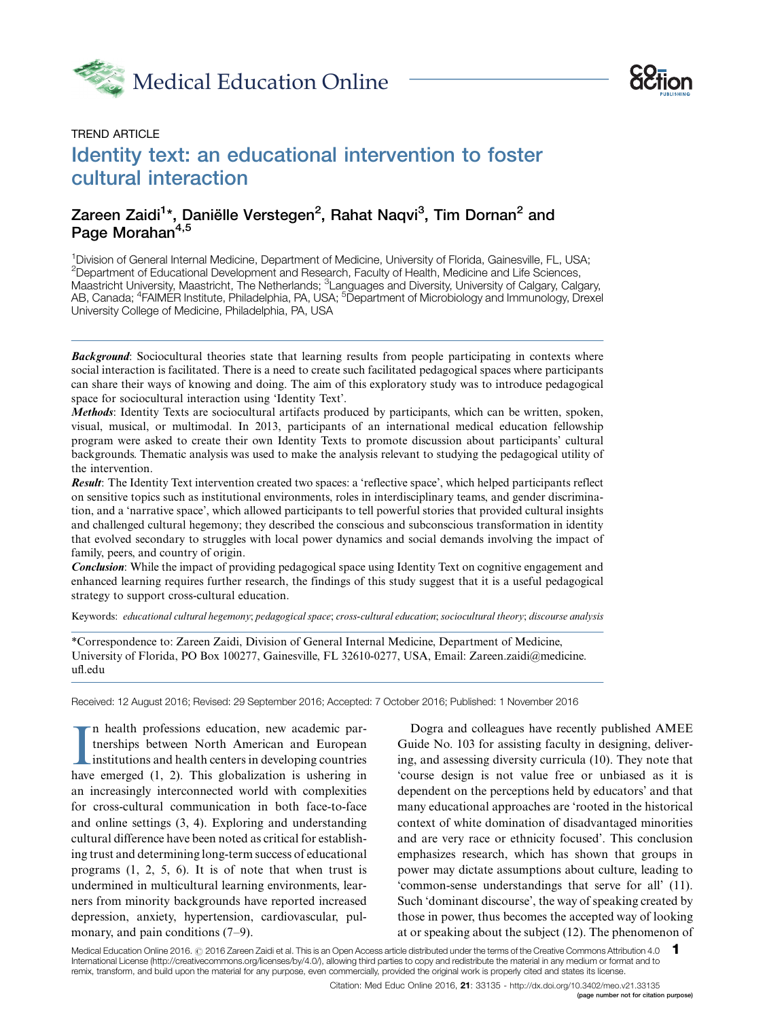



# TREND ARTICLE Identity text: an educational intervention to foster cultural interaction

# Zareen Zaidi<sup>1</sup>\*, Daniëlle Verstegen<sup>2</sup>, Rahat Naqvi<sup>3</sup>, Tim Dornan<sup>2</sup> and Page Morahan $4,5$

<sup>1</sup>Division of General Internal Medicine, Department of Medicine, University of Florida, Gainesville, FL, USA; <sup>2</sup>Department of Educational Development and Research, Faculty of Health, Medicine and Life Sciences, Maastricht University, Maastricht, The Netherlands; <sup>3</sup>Languages and Diversity, University of Calgary, Calgary,<br>AB, Canada; <sup>4</sup>FAIMER Institute, Philadelphia, PA, USA; <sup>5</sup>Department of Microbiology and Immunology, Drexel University College of Medicine, Philadelphia, PA, USA

**Background:** Sociocultural theories state that learning results from people participating in contexts where social interaction is facilitated. There is a need to create such facilitated pedagogical spaces where participants can share their ways of knowing and doing. The aim of this exploratory study was to introduce pedagogical space for sociocultural interaction using 'Identity Text'.

Methods: Identity Texts are sociocultural artifacts produced by participants, which can be written, spoken, visual, musical, or multimodal. In 2013, participants of an international medical education fellowship program were asked to create their own Identity Texts to promote discussion about participants' cultural backgrounds. Thematic analysis was used to make the analysis relevant to studying the pedagogical utility of the intervention.

Result: The Identity Text intervention created two spaces: a 'reflective space', which helped participants reflect on sensitive topics such as institutional environments, roles in interdisciplinary teams, and gender discrimination, and a 'narrative space', which allowed participants to tell powerful stories that provided cultural insights and challenged cultural hegemony; they described the conscious and subconscious transformation in identity that evolved secondary to struggles with local power dynamics and social demands involving the impact of family, peers, and country of origin.

Conclusion: While the impact of providing pedagogical space using Identity Text on cognitive engagement and enhanced learning requires further research, the findings of this study suggest that it is a useful pedagogical strategy to support cross-cultural education.

Keywords: educational cultural hegemony; pedagogical space; cross-cultural education; sociocultural theory; discourse analysis

\*Correspondence to: Zareen Zaidi, Division of General Internal Medicine, Department of Medicine, University of Florida, PO Box 100277, Gainesville, FL 32610-0277, USA, Email: Zareen.zaidi@medicine. ufl.edu

Received: 12 August 2016; Revised: 29 September 2016; Accepted: 7 October 2016; Published: 1 November 2016

In health professions education, new academic partnerships between North American and European institutions and health centers in developing countries have emerged (1, 2). This globalization is ushering in n health professions education, new academic partnerships between North American and European institutions and health centers in developing countries an increasingly interconnected world with complexities for cross-cultural communication in both face-to-face and online settings (3, 4). Exploring and understanding cultural difference have been noted as critical for establishing trust and determining long-term success of educational programs (1, 2, 5, 6). It is of note that when trust is undermined in multicultural learning environments, learners from minority backgrounds have reported increased depression, anxiety, hypertension, cardiovascular, pulmonary, and pain conditions (7-9).

Dogra and colleagues have recently published AMEE Guide No. 103 for assisting faculty in designing, delivering, and assessing diversity curricula (10). They note that 'course design is not value free or unbiased as it is dependent on the perceptions held by educators' and that many educational approaches are 'rooted in the historical context of white domination of disadvantaged minorities and are very race or ethnicity focused'. This conclusion emphasizes research, which has shown that groups in power may dictate assumptions about culture, leading to 'common-sense understandings that serve for all' (11). Such 'dominant discourse', the way of speaking created by those in power, thus becomes the accepted way of looking at or speaking about the subject (12). The phenomenon of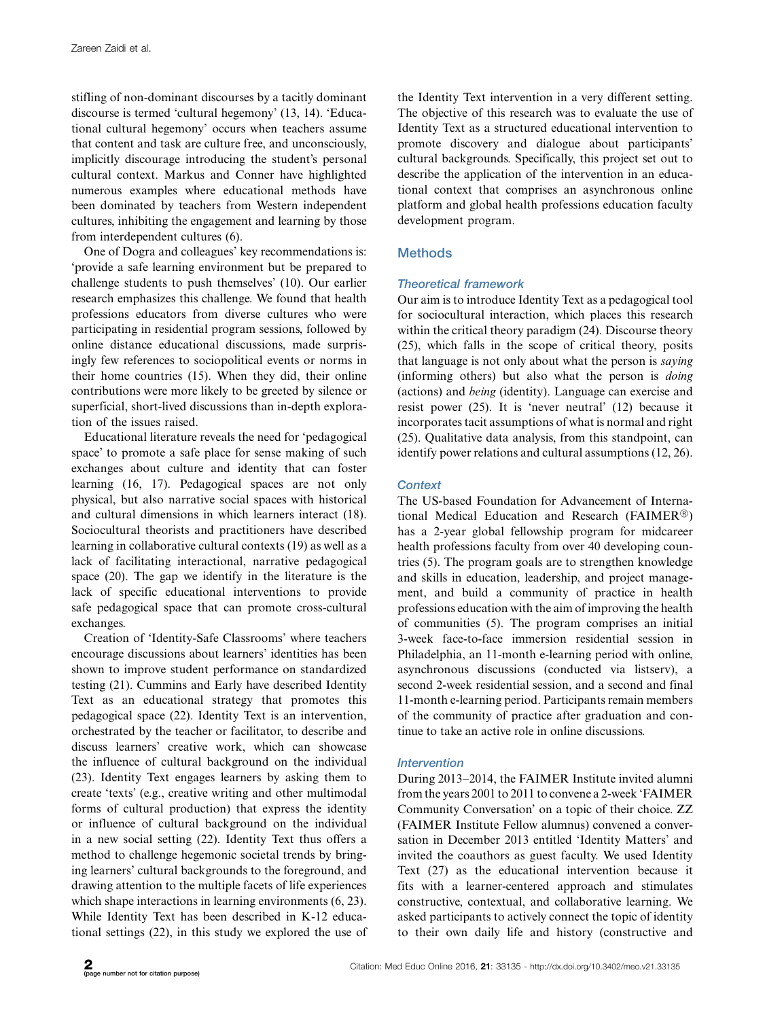stifling of non-dominant discourses by a tacitly dominant discourse is termed 'cultural hegemony' (13, 14). 'Educational cultural hegemony' occurs when teachers assume that content and task are culture free, and unconsciously, implicitly discourage introducing the student's personal cultural context. Markus and Conner have highlighted numerous examples where educational methods have been dominated by teachers from Western independent cultures, inhibiting the engagement and learning by those from interdependent cultures (6).

One of Dogra and colleagues' key recommendations is: 'provide a safe learning environment but be prepared to challenge students to push themselves' (10). Our earlier research emphasizes this challenge. We found that health professions educators from diverse cultures who were participating in residential program sessions, followed by online distance educational discussions, made surprisingly few references to sociopolitical events or norms in their home countries (15). When they did, their online contributions were more likely to be greeted by silence or superficial, short-lived discussions than in-depth exploration of the issues raised.

Educational literature reveals the need for 'pedagogical space' to promote a safe place for sense making of such exchanges about culture and identity that can foster learning (16, 17). Pedagogical spaces are not only physical, but also narrative social spaces with historical and cultural dimensions in which learners interact (18). Sociocultural theorists and practitioners have described learning in collaborative cultural contexts (19) as well as a lack of facilitating interactional, narrative pedagogical space (20). The gap we identify in the literature is the lack of specific educational interventions to provide safe pedagogical space that can promote cross-cultural exchanges.

Creation of 'Identity-Safe Classrooms' where teachers encourage discussions about learners' identities has been shown to improve student performance on standardized testing (21). Cummins and Early have described Identity Text as an educational strategy that promotes this pedagogical space (22). Identity Text is an intervention, orchestrated by the teacher or facilitator, to describe and discuss learners' creative work, which can showcase the influence of cultural background on the individual (23). Identity Text engages learners by asking them to create 'texts' (e.g., creative writing and other multimodal forms of cultural production) that express the identity or influence of cultural background on the individual in a new social setting (22). Identity Text thus offers a method to challenge hegemonic societal trends by bringing learners' cultural backgrounds to the foreground, and drawing attention to the multiple facets of life experiences which shape interactions in learning environments (6, 23). While Identity Text has been described in K-12 educational settings (22), in this study we explored the use of the Identity Text intervention in a very different setting. The objective of this research was to evaluate the use of Identity Text as a structured educational intervention to promote discovery and dialogue about participants' cultural backgrounds. Specifically, this project set out to describe the application of the intervention in an educational context that comprises an asynchronous online platform and global health professions education faculty development program.

# **Methods**

# Theoretical framework

Our aim is to introduce Identity Text as a pedagogical tool for sociocultural interaction, which places this research within the critical theory paradigm (24). Discourse theory (25), which falls in the scope of critical theory, posits that language is not only about what the person is saying (informing others) but also what the person is doing (actions) and being (identity). Language can exercise and resist power (25). It is 'never neutral' (12) because it incorporates tacit assumptions of what is normal and right (25). Qualitative data analysis, from this standpoint, can identify power relations and cultural assumptions (12, 26).

## **Context**

The US-based Foundation for Advancement of International Medical Education and Research (FAIMER $\textcircled{\tiny 8}$ ) has a 2-year global fellowship program for midcareer health professions faculty from over 40 developing countries (5). The program goals are to strengthen knowledge and skills in education, leadership, and project management, and build a community of practice in health professions education with the aim of improving the health of communities (5). The program comprises an initial 3-week face-to-face immersion residential session in Philadelphia, an 11-month e-learning period with online, asynchronous discussions (conducted via listserv), a second 2-week residential session, and a second and final 11-month e-learning period. Participants remain members of the community of practice after graduation and continue to take an active role in online discussions.

#### **Intervention**

During 2013-2014, the FAIMER Institute invited alumni from the years 2001 to 2011 to convene a 2-week 'FAIMER Community Conversation' on a topic of their choice. ZZ (FAIMER Institute Fellow alumnus) convened a conversation in December 2013 entitled 'Identity Matters' and invited the coauthors as guest faculty. We used Identity Text (27) as the educational intervention because it fits with a learner-centered approach and stimulates constructive, contextual, and collaborative learning. We asked participants to actively connect the topic of identity to their own daily life and history (constructive and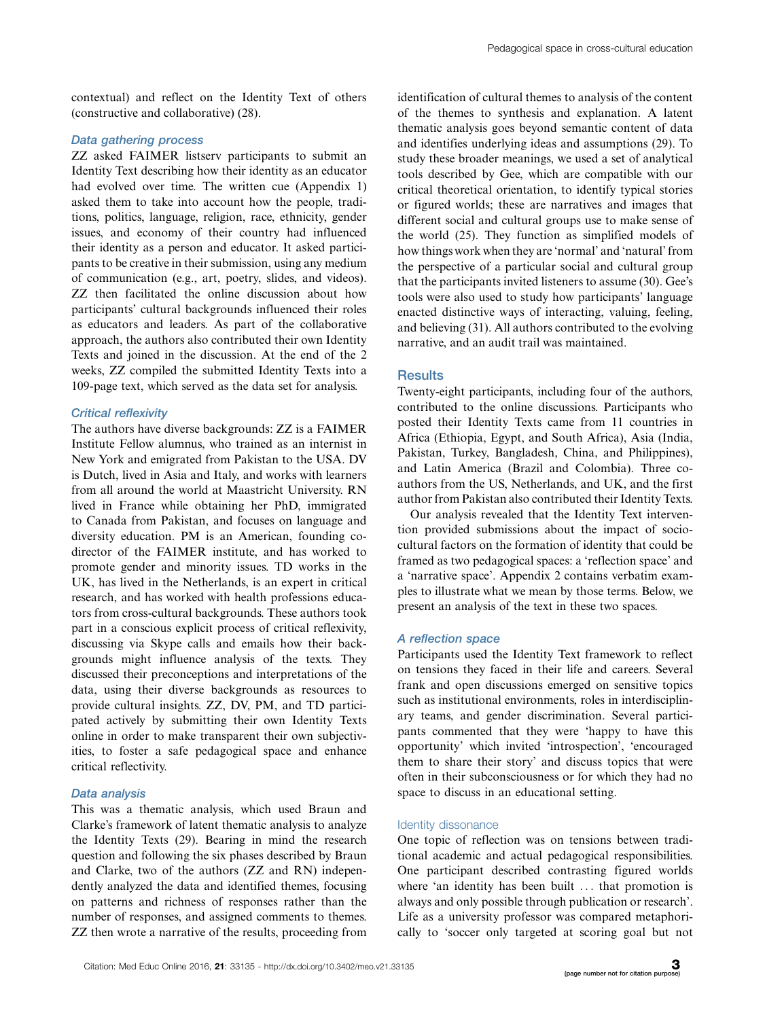contextual) and reflect on the Identity Text of others (constructive and collaborative) (28).

## Data gathering process

ZZ asked FAIMER listserv participants to submit an Identity Text describing how their identity as an educator had evolved over time. The written cue (Appendix 1) asked them to take into account how the people, traditions, politics, language, religion, race, ethnicity, gender issues, and economy of their country had influenced their identity as a person and educator. It asked participants to be creative in their submission, using any medium of communication (e.g., art, poetry, slides, and videos). ZZ then facilitated the online discussion about how participants' cultural backgrounds influenced their roles as educators and leaders. As part of the collaborative approach, the authors also contributed their own Identity Texts and joined in the discussion. At the end of the 2 weeks, ZZ compiled the submitted Identity Texts into a 109-page text, which served as the data set for analysis.

#### Critical reflexivity

The authors have diverse backgrounds: ZZ is a FAIMER Institute Fellow alumnus, who trained as an internist in New York and emigrated from Pakistan to the USA. DV is Dutch, lived in Asia and Italy, and works with learners from all around the world at Maastricht University. RN lived in France while obtaining her PhD, immigrated to Canada from Pakistan, and focuses on language and diversity education. PM is an American, founding codirector of the FAIMER institute, and has worked to promote gender and minority issues. TD works in the UK, has lived in the Netherlands, is an expert in critical research, and has worked with health professions educators from cross-cultural backgrounds. These authors took part in a conscious explicit process of critical reflexivity, discussing via Skype calls and emails how their backgrounds might influence analysis of the texts. They discussed their preconceptions and interpretations of the data, using their diverse backgrounds as resources to provide cultural insights. ZZ, DV, PM, and TD participated actively by submitting their own Identity Texts online in order to make transparent their own subjectivities, to foster a safe pedagogical space and enhance critical reflectivity.

#### Data analysis

This was a thematic analysis, which used Braun and Clarke's framework of latent thematic analysis to analyze the Identity Texts (29). Bearing in mind the research question and following the six phases described by Braun and Clarke, two of the authors (ZZ and RN) independently analyzed the data and identified themes, focusing on patterns and richness of responses rather than the number of responses, and assigned comments to themes. ZZ then wrote a narrative of the results, proceeding from identification of cultural themes to analysis of the content of the themes to synthesis and explanation. A latent thematic analysis goes beyond semantic content of data and identifies underlying ideas and assumptions (29). To study these broader meanings, we used a set of analytical tools described by Gee, which are compatible with our critical theoretical orientation, to identify typical stories or figured worlds; these are narratives and images that different social and cultural groups use to make sense of the world (25). They function as simplified models of how things work when they are 'normal' and 'natural' from the perspective of a particular social and cultural group that the participants invited listeners to assume (30). Gee's tools were also used to study how participants' language enacted distinctive ways of interacting, valuing, feeling, and believing (31). All authors contributed to the evolving narrative, and an audit trail was maintained.

#### **Results**

Twenty-eight participants, including four of the authors, contributed to the online discussions. Participants who posted their Identity Texts came from 11 countries in Africa (Ethiopia, Egypt, and South Africa), Asia (India, Pakistan, Turkey, Bangladesh, China, and Philippines), and Latin America (Brazil and Colombia). Three coauthors from the US, Netherlands, and UK, and the first author from Pakistan also contributed their Identity Texts.

Our analysis revealed that the Identity Text intervention provided submissions about the impact of sociocultural factors on the formation of identity that could be framed as two pedagogical spaces: a 'reflection space' and a 'narrative space'. Appendix 2 contains verbatim examples to illustrate what we mean by those terms. Below, we present an analysis of the text in these two spaces.

#### A reflection space

Participants used the Identity Text framework to reflect on tensions they faced in their life and careers. Several frank and open discussions emerged on sensitive topics such as institutional environments, roles in interdisciplinary teams, and gender discrimination. Several participants commented that they were 'happy to have this opportunity' which invited 'introspection', 'encouraged them to share their story' and discuss topics that were often in their subconsciousness or for which they had no space to discuss in an educational setting.

#### Identity dissonance

One topic of reflection was on tensions between traditional academic and actual pedagogical responsibilities. One participant described contrasting figured worlds where 'an identity has been built ... that promotion is always and only possible through publication or research'. Life as a university professor was compared metaphorically to 'soccer only targeted at scoring goal but not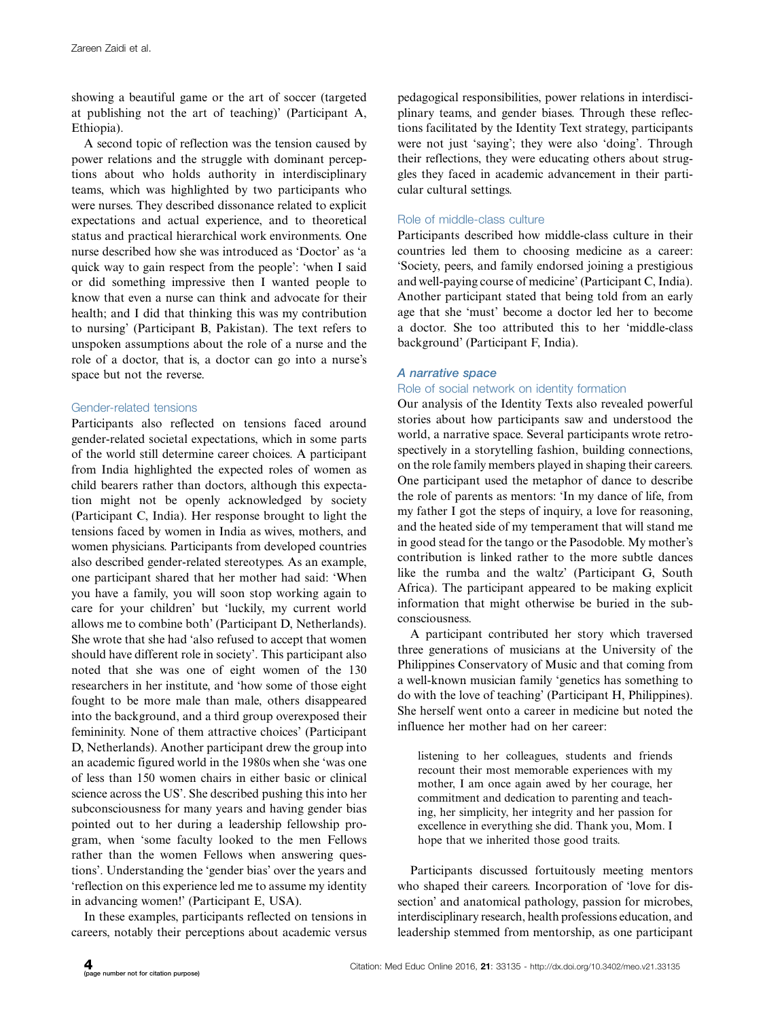showing a beautiful game or the art of soccer (targeted at publishing not the art of teaching)' (Participant A, Ethiopia).

A second topic of reflection was the tension caused by power relations and the struggle with dominant perceptions about who holds authority in interdisciplinary teams, which was highlighted by two participants who were nurses. They described dissonance related to explicit expectations and actual experience, and to theoretical status and practical hierarchical work environments. One nurse described how she was introduced as 'Doctor' as 'a quick way to gain respect from the people': 'when I said or did something impressive then I wanted people to know that even a nurse can think and advocate for their health; and I did that thinking this was my contribution to nursing' (Participant B, Pakistan). The text refers to unspoken assumptions about the role of a nurse and the role of a doctor, that is, a doctor can go into a nurse's space but not the reverse.

#### Gender-related tensions

Participants also reflected on tensions faced around gender-related societal expectations, which in some parts of the world still determine career choices. A participant from India highlighted the expected roles of women as child bearers rather than doctors, although this expectation might not be openly acknowledged by society (Participant C, India). Her response brought to light the tensions faced by women in India as wives, mothers, and women physicians. Participants from developed countries also described gender-related stereotypes. As an example, one participant shared that her mother had said: 'When you have a family, you will soon stop working again to care for your children' but 'luckily, my current world allows me to combine both' (Participant D, Netherlands). She wrote that she had 'also refused to accept that women should have different role in society'. This participant also noted that she was one of eight women of the 130 researchers in her institute, and 'how some of those eight fought to be more male than male, others disappeared into the background, and a third group overexposed their femininity. None of them attractive choices' (Participant D, Netherlands). Another participant drew the group into an academic figured world in the 1980s when she 'was one of less than 150 women chairs in either basic or clinical science across the US'. She described pushing this into her subconsciousness for many years and having gender bias pointed out to her during a leadership fellowship program, when 'some faculty looked to the men Fellows rather than the women Fellows when answering questions'. Understanding the 'gender bias' over the years and 'reflection on this experience led me to assume my identity in advancing women!' (Participant E, USA).

In these examples, participants reflected on tensions in careers, notably their perceptions about academic versus pedagogical responsibilities, power relations in interdisciplinary teams, and gender biases. Through these reflections facilitated by the Identity Text strategy, participants were not just 'saying'; they were also 'doing'. Through their reflections, they were educating others about struggles they faced in academic advancement in their particular cultural settings.

#### Role of middle-class culture

Participants described how middle-class culture in their countries led them to choosing medicine as a career: 'Society, peers, and family endorsed joining a prestigious and well-paying course of medicine' (Participant C, India). Another participant stated that being told from an early age that she 'must' become a doctor led her to become a doctor. She too attributed this to her 'middle-class background' (Participant F, India).

#### A narrative space

#### Role of social network on identity formation

Our analysis of the Identity Texts also revealed powerful stories about how participants saw and understood the world, a narrative space. Several participants wrote retrospectively in a storytelling fashion, building connections, on the role family members played in shaping their careers. One participant used the metaphor of dance to describe the role of parents as mentors: 'In my dance of life, from my father I got the steps of inquiry, a love for reasoning, and the heated side of my temperament that will stand me in good stead for the tango or the Pasodoble. My mother's contribution is linked rather to the more subtle dances like the rumba and the waltz' (Participant G, South Africa). The participant appeared to be making explicit information that might otherwise be buried in the subconsciousness.

A participant contributed her story which traversed three generations of musicians at the University of the Philippines Conservatory of Music and that coming from a well-known musician family 'genetics has something to do with the love of teaching' (Participant H, Philippines). She herself went onto a career in medicine but noted the influence her mother had on her career:

listening to her colleagues, students and friends recount their most memorable experiences with my mother, I am once again awed by her courage, her commitment and dedication to parenting and teaching, her simplicity, her integrity and her passion for excellence in everything she did. Thank you, Mom. I hope that we inherited those good traits.

Participants discussed fortuitously meeting mentors who shaped their careers. Incorporation of 'love for dissection' and anatomical pathology, passion for microbes, interdisciplinary research, health professions education, and leadership stemmed from mentorship, as one participant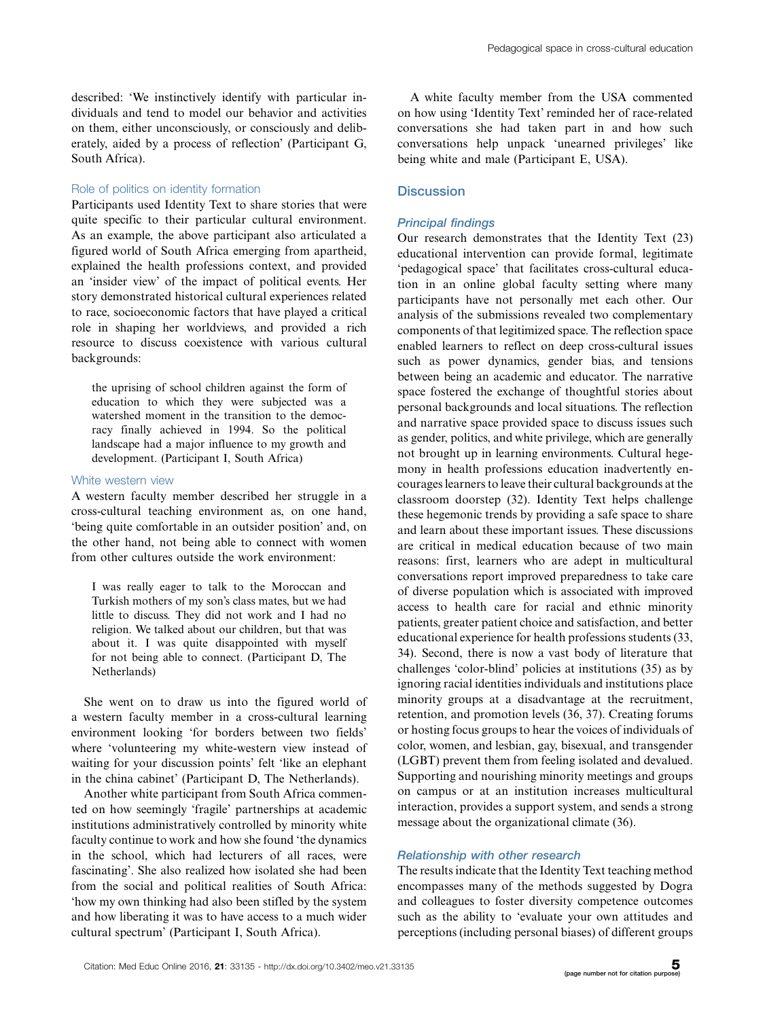described: 'We instinctively identify with particular individuals and tend to model our behavior and activities on them, either unconsciously, or consciously and deliberately, aided by a process of reflection' (Participant G, South Africa).

#### Role of politics on identity formation

Participants used Identity Text to share stories that were quite specific to their particular cultural environment. As an example, the above participant also articulated a figured world of South Africa emerging from apartheid, explained the health professions context, and provided an 'insider view' of the impact of political events. Her story demonstrated historical cultural experiences related to race, socioeconomic factors that have played a critical role in shaping her worldviews, and provided a rich resource to discuss coexistence with various cultural backgrounds:

the uprising of school children against the form of education to which they were subjected was a watershed moment in the transition to the democracy finally achieved in 1994. So the political landscape had a major influence to my growth and development. (Participant I, South Africa)

#### White western view

A western faculty member described her struggle in a cross-cultural teaching environment as, on one hand, 'being quite comfortable in an outsider position' and, on the other hand, not being able to connect with women from other cultures outside the work environment:

I was really eager to talk to the Moroccan and Turkish mothers of my son's class mates, but we had little to discuss. They did not work and I had no religion. We talked about our children, but that was about it. I was quite disappointed with myself for not being able to connect. (Participant D, The Netherlands)

She went on to draw us into the figured world of a western faculty member in a cross-cultural learning environment looking 'for borders between two fields' where 'volunteering my white-western view instead of waiting for your discussion points' felt 'like an elephant in the china cabinet' (Participant D, The Netherlands).

Another white participant from South Africa commented on how seemingly 'fragile' partnerships at academic institutions administratively controlled by minority white faculty continue to work and how she found 'the dynamics in the school, which had lecturers of all races, were fascinating'. She also realized how isolated she had been from the social and political realities of South Africa: 'how my own thinking had also been stifled by the system and how liberating it was to have access to a much wider cultural spectrum' (Participant I, South Africa).

A white faculty member from the USA commented on how using 'Identity Text' reminded her of race-related conversations she had taken part in and how such conversations help unpack 'unearned privileges' like being white and male (Participant E, USA).

#### **Discussion**

#### Principal findings

Our research demonstrates that the Identity Text (23) educational intervention can provide formal, legitimate 'pedagogical space' that facilitates cross-cultural education in an online global faculty setting where many participants have not personally met each other. Our analysis of the submissions revealed two complementary components of that legitimized space. The reflection space enabled learners to reflect on deep cross-cultural issues such as power dynamics, gender bias, and tensions between being an academic and educator. The narrative space fostered the exchange of thoughtful stories about personal backgrounds and local situations. The reflection and narrative space provided space to discuss issues such as gender, politics, and white privilege, which are generally not brought up in learning environments. Cultural hegemony in health professions education inadvertently encourages learners to leave their cultural backgrounds at the classroom doorstep (32). Identity Text helps challenge these hegemonic trends by providing a safe space to share and learn about these important issues. These discussions are critical in medical education because of two main reasons: first, learners who are adept in multicultural conversations report improved preparedness to take care of diverse population which is associated with improved access to health care for racial and ethnic minority patients, greater patient choice and satisfaction, and better educational experience for health professions students (33, 34). Second, there is now a vast body of literature that challenges 'color-blind' policies at institutions (35) as by ignoring racial identities individuals and institutions place minority groups at a disadvantage at the recruitment, retention, and promotion levels (36, 37). Creating forums or hosting focus groups to hear the voices of individuals of color, women, and lesbian, gay, bisexual, and transgender (LGBT) prevent them from feeling isolated and devalued. Supporting and nourishing minority meetings and groups on campus or at an institution increases multicultural interaction, provides a support system, and sends a strong message about the organizational climate (36).

#### Relationship with other research

The results indicate that the Identity Text teaching method encompasses many of the methods suggested by Dogra and colleagues to foster diversity competence outcomes such as the ability to 'evaluate your own attitudes and perceptions (including personal biases) of different groups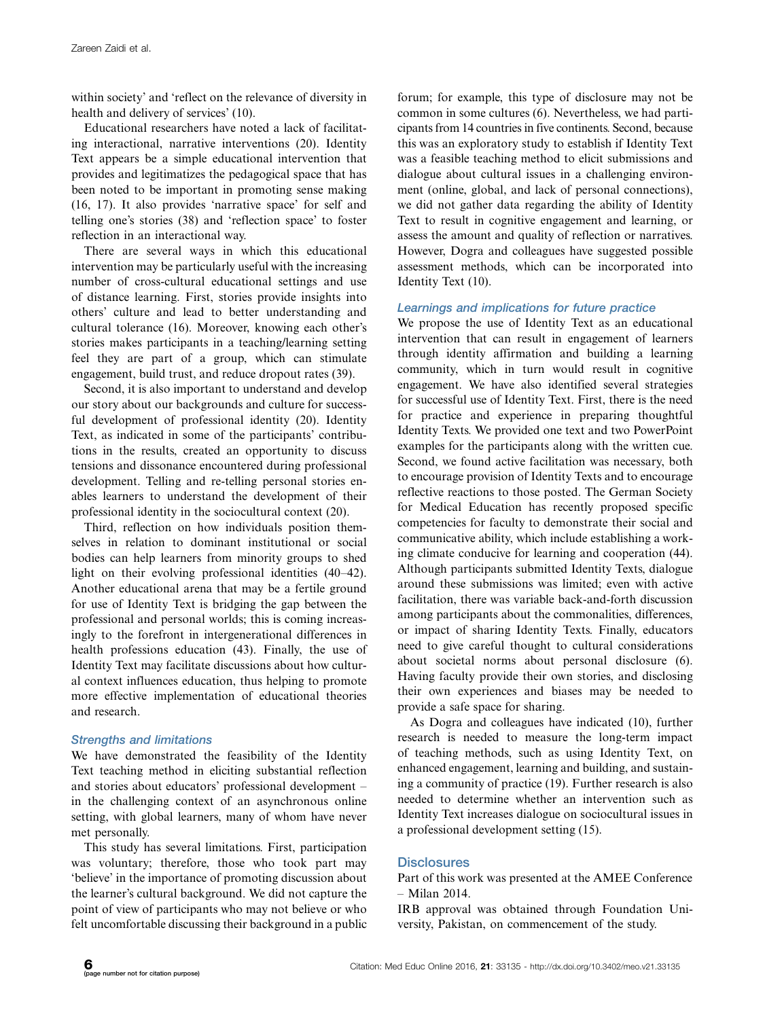within society' and 'reflect on the relevance of diversity in health and delivery of services' (10).

Educational researchers have noted a lack of facilitating interactional, narrative interventions (20). Identity Text appears be a simple educational intervention that provides and legitimatizes the pedagogical space that has been noted to be important in promoting sense making (16, 17). It also provides 'narrative space' for self and telling one's stories (38) and 'reflection space' to foster reflection in an interactional way.

There are several ways in which this educational intervention may be particularly useful with the increasing number of cross-cultural educational settings and use of distance learning. First, stories provide insights into others' culture and lead to better understanding and cultural tolerance (16). Moreover, knowing each other's stories makes participants in a teaching/learning setting feel they are part of a group, which can stimulate engagement, build trust, and reduce dropout rates (39).

Second, it is also important to understand and develop our story about our backgrounds and culture for successful development of professional identity (20). Identity Text, as indicated in some of the participants' contributions in the results, created an opportunity to discuss tensions and dissonance encountered during professional development. Telling and re-telling personal stories enables learners to understand the development of their professional identity in the sociocultural context (20).

Third, reflection on how individuals position themselves in relation to dominant institutional or social bodies can help learners from minority groups to shed light on their evolving professional identities (40-42). Another educational arena that may be a fertile ground for use of Identity Text is bridging the gap between the professional and personal worlds; this is coming increasingly to the forefront in intergenerational differences in health professions education (43). Finally, the use of Identity Text may facilitate discussions about how cultural context influences education, thus helping to promote more effective implementation of educational theories and research.

#### Strengths and limitations

We have demonstrated the feasibility of the Identity Text teaching method in eliciting substantial reflection and stories about educators' professional development in the challenging context of an asynchronous online setting, with global learners, many of whom have never met personally.

This study has several limitations. First, participation was voluntary; therefore, those who took part may 'believe' in the importance of promoting discussion about the learner's cultural background. We did not capture the point of view of participants who may not believe or who felt uncomfortable discussing their background in a public forum; for example, this type of disclosure may not be common in some cultures (6). Nevertheless, we had participants from 14 countries in five continents. Second, because this was an exploratory study to establish if Identity Text was a feasible teaching method to elicit submissions and dialogue about cultural issues in a challenging environment (online, global, and lack of personal connections), we did not gather data regarding the ability of Identity Text to result in cognitive engagement and learning, or assess the amount and quality of reflection or narratives. However, Dogra and colleagues have suggested possible assessment methods, which can be incorporated into Identity Text (10).

#### Learnings and implications for future practice

We propose the use of Identity Text as an educational intervention that can result in engagement of learners through identity affirmation and building a learning community, which in turn would result in cognitive engagement. We have also identified several strategies for successful use of Identity Text. First, there is the need for practice and experience in preparing thoughtful Identity Texts. We provided one text and two PowerPoint examples for the participants along with the written cue. Second, we found active facilitation was necessary, both to encourage provision of Identity Texts and to encourage reflective reactions to those posted. The German Society for Medical Education has recently proposed specific competencies for faculty to demonstrate their social and communicative ability, which include establishing a working climate conducive for learning and cooperation (44). Although participants submitted Identity Texts, dialogue around these submissions was limited; even with active facilitation, there was variable back-and-forth discussion among participants about the commonalities, differences, or impact of sharing Identity Texts. Finally, educators need to give careful thought to cultural considerations about societal norms about personal disclosure (6). Having faculty provide their own stories, and disclosing their own experiences and biases may be needed to provide a safe space for sharing.

As Dogra and colleagues have indicated (10), further research is needed to measure the long-term impact of teaching methods, such as using Identity Text, on enhanced engagement, learning and building, and sustaining a community of practice (19). Further research is also needed to determine whether an intervention such as Identity Text increases dialogue on sociocultural issues in a professional development setting (15).

# **Disclosures**

Part of this work was presented at the AMEE Conference - Milan 2014.

IRB approval was obtained through Foundation University, Pakistan, on commencement of the study.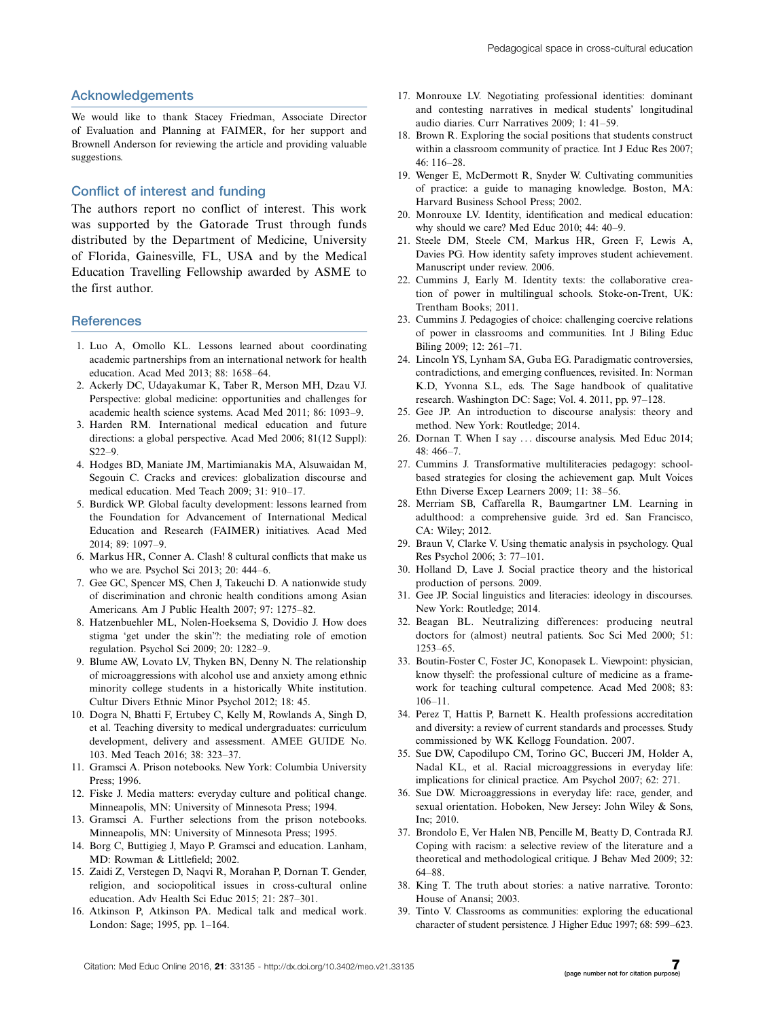We would like to thank Stacey Friedman, Associate Director of Evaluation and Planning at FAIMER, for her support and Brownell Anderson for reviewing the article and providing valuable suggestions.

#### Conflict of interest and funding

The authors report no conflict of interest. This work was supported by the Gatorade Trust through funds distributed by the Department of Medicine, University of Florida, Gainesville, FL, USA and by the Medical Education Travelling Fellowship awarded by ASME to the first author.

#### **References**

- 1. Luo A, Omollo KL. Lessons learned about coordinating academic partnerships from an international network for health education. Acad Med 2013; 88: 1658-64.
- 2. Ackerly DC, Udayakumar K, Taber R, Merson MH, Dzau VJ. Perspective: global medicine: opportunities and challenges for academic health science systems. Acad Med 2011; 86: 1093-9.
- 3. Harden RM. International medical education and future directions: a global perspective. Acad Med 2006; 81(12 Suppl): S22-9.
- 4. Hodges BD, Maniate JM, Martimianakis MA, Alsuwaidan M, Segouin C. Cracks and crevices: globalization discourse and medical education. Med Teach 2009; 31: 910-17.
- 5. Burdick WP. Global faculty development: lessons learned from the Foundation for Advancement of International Medical Education and Research (FAIMER) initiatives. Acad Med 2014; 89: 1097-9.
- 6. Markus HR, Conner A. Clash! 8 cultural conflicts that make us who we are. Psychol Sci 2013; 20: 444-6.
- 7. Gee GC, Spencer MS, Chen J, Takeuchi D. A nationwide study of discrimination and chronic health conditions among Asian Americans. Am J Public Health 2007; 97: 1275-82.
- 8. Hatzenbuehler ML, Nolen-Hoeksema S, Dovidio J. How does stigma 'get under the skin'?: the mediating role of emotion regulation. Psychol Sci 2009; 20: 1282-9.
- 9. Blume AW, Lovato LV, Thyken BN, Denny N. The relationship of microaggressions with alcohol use and anxiety among ethnic minority college students in a historically White institution. Cultur Divers Ethnic Minor Psychol 2012; 18: 45.
- 10. Dogra N, Bhatti F, Ertubey C, Kelly M, Rowlands A, Singh D, et al. Teaching diversity to medical undergraduates: curriculum development, delivery and assessment. AMEE GUIDE No. 103. Med Teach 2016; 38: 323-37.
- 11. Gramsci A. Prison notebooks. New York: Columbia University Press; 1996.
- 12. Fiske J. Media matters: everyday culture and political change. Minneapolis, MN: University of Minnesota Press; 1994.
- 13. Gramsci A. Further selections from the prison notebooks. Minneapolis, MN: University of Minnesota Press; 1995.
- 14. Borg C, Buttigieg J, Mayo P. Gramsci and education. Lanham, MD: Rowman & Littlefield; 2002.
- 15. Zaidi Z, Verstegen D, Naqvi R, Morahan P, Dornan T. Gender, religion, and sociopolitical issues in cross-cultural online education. Adv Health Sci Educ 2015; 21: 287-301.
- 16. Atkinson P, Atkinson PA. Medical talk and medical work. London: Sage; 1995, pp. 1-164.
- 17. Monrouxe LV. Negotiating professional identities: dominant and contesting narratives in medical students' longitudinal audio diaries. Curr Narratives 2009; 1: 41-59.
- 18. Brown R. Exploring the social positions that students construct within a classroom community of practice. Int J Educ Res 2007; 46: 116-28.
- 19. Wenger E, McDermott R, Snyder W. Cultivating communities of practice: a guide to managing knowledge. Boston, MA: Harvard Business School Press; 2002.
- 20. Monrouxe LV. Identity, identification and medical education: why should we care? Med Educ 2010; 44: 40-9.
- 21. Steele DM, Steele CM, Markus HR, Green F, Lewis A, Davies PG. How identity safety improves student achievement. Manuscript under review. 2006.
- 22. Cummins J, Early M. Identity texts: the collaborative creation of power in multilingual schools. Stoke-on-Trent, UK: Trentham Books; 2011.
- 23. Cummins J. Pedagogies of choice: challenging coercive relations of power in classrooms and communities. Int J Biling Educ Biling 2009; 12: 261-71.
- 24. Lincoln YS, Lynham SA, Guba EG. Paradigmatic controversies, contradictions, and emerging confluences, revisited. In: Norman K.D, Yvonna S.L, eds. The Sage handbook of qualitative research. Washington DC: Sage; Vol. 4. 2011, pp. 97-128.
- 25. Gee JP. An introduction to discourse analysis: theory and method. New York: Routledge; 2014.
- 26. Dornan T. When I say ... discourse analysis. Med Educ 2014; 48: 466-7.
- 27. Cummins J. Transformative multiliteracies pedagogy: schoolbased strategies for closing the achievement gap. Mult Voices Ethn Diverse Excep Learners 2009; 11: 38-56.
- 28. Merriam SB, Caffarella R, Baumgartner LM. Learning in adulthood: a comprehensive guide. 3rd ed. San Francisco, CA: Wiley; 2012.
- 29. Braun V, Clarke V. Using thematic analysis in psychology. Qual Res Psychol 2006; 3: 77-101.
- 30. Holland D, Lave J. Social practice theory and the historical production of persons. 2009.
- 31. Gee JP. Social linguistics and literacies: ideology in discourses. New York: Routledge; 2014.
- 32. Beagan BL. Neutralizing differences: producing neutral doctors for (almost) neutral patients. Soc Sci Med 2000; 51: 1253-65.
- 33. Boutin-Foster C, Foster JC, Konopasek L. Viewpoint: physician, know thyself: the professional culture of medicine as a framework for teaching cultural competence. Acad Med 2008; 83: 106-11.
- 34. Perez T, Hattis P, Barnett K. Health professions accreditation and diversity: a review of current standards and processes. Study commissioned by WK Kellogg Foundation. 2007.
- 35. Sue DW, Capodilupo CM, Torino GC, Bucceri JM, Holder A, Nadal KL, et al. Racial microaggressions in everyday life: implications for clinical practice. Am Psychol 2007; 62: 271.
- 36. Sue DW. Microaggressions in everyday life: race, gender, and sexual orientation. Hoboken, New Jersey: John Wiley & Sons, Inc; 2010.
- 37. Brondolo E, Ver Halen NB, Pencille M, Beatty D, Contrada RJ. Coping with racism: a selective review of the literature and a theoretical and methodological critique. J Behav Med 2009; 32: 64-88.
- 38. King T. The truth about stories: a native narrative. Toronto: House of Anansi; 2003.
- 39. Tinto V. Classrooms as communities: exploring the educational character of student persistence. J Higher Educ 1997; 68: 599-623.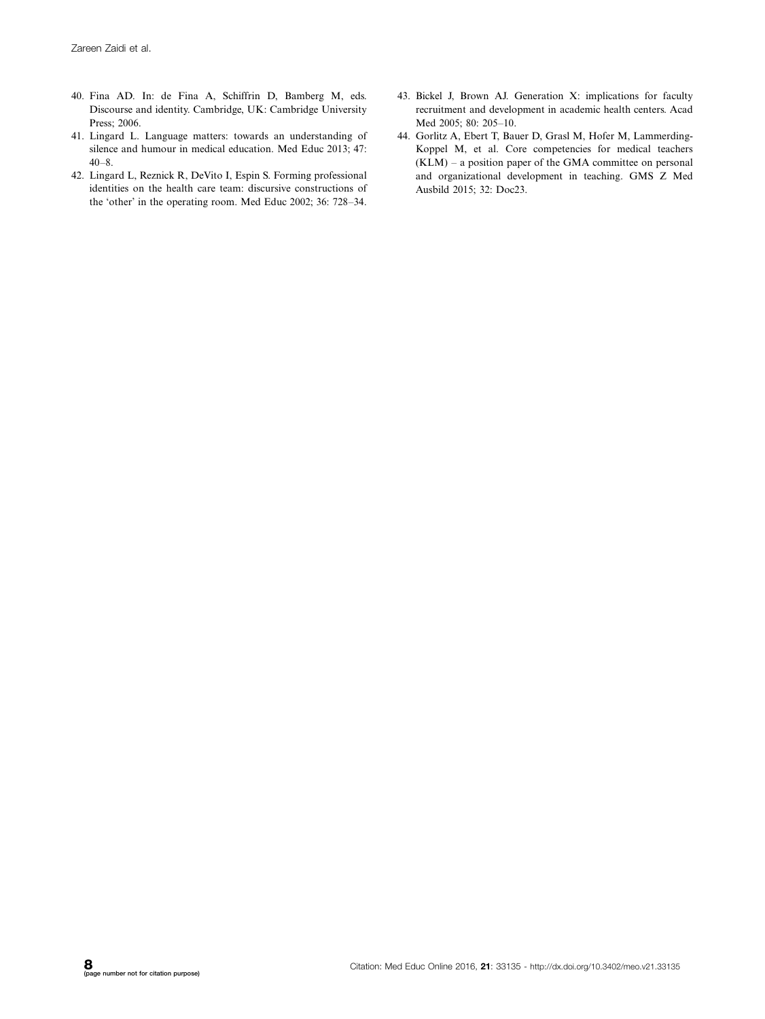- 40. Fina AD. In: de Fina A, Schiffrin D, Bamberg M, eds. Discourse and identity. Cambridge, UK: Cambridge University Press; 2006.
- 41. Lingard L. Language matters: towards an understanding of silence and humour in medical education. Med Educ 2013; 47: 40-8.
- 42. Lingard L, Reznick R, DeVito I, Espin S. Forming professional identities on the health care team: discursive constructions of the 'other' in the operating room. Med Educ 2002; 36: 728-34.
- 43. Bickel J, Brown AJ. Generation X: implications for faculty recruitment and development in academic health centers. Acad Med 2005; 80: 205-10.
- 44. Gorlitz A, Ebert T, Bauer D, Grasl M, Hofer M, Lammerding-Koppel M, et al. Core competencies for medical teachers (KLM) - a position paper of the GMA committee on personal and organizational development in teaching. GMS Z Med Ausbild 2015; 32: Doc23.